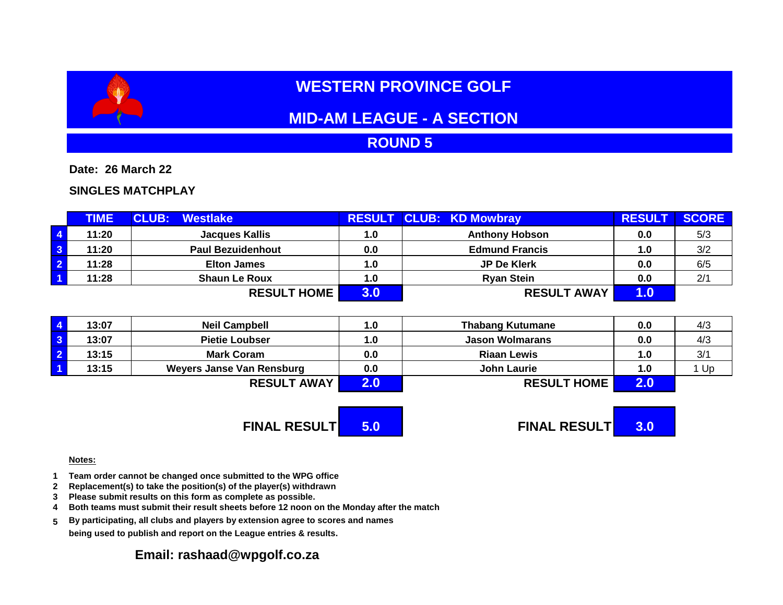# **WESTERN PROVINCE GOLF**

# **MID-AM LEAGUE - A SECTION**

## **ROUND 5**

**Date: 26 March 22**

### **SINGLES MATCHPLAY**

|                         | <b>TIME</b> | <b>CLUB:</b><br><b>Westlake</b> |     | <b>RESULT CLUB: KD Mowbray</b> | <b>RESULT</b> | <b>SCORE</b> |
|-------------------------|-------------|---------------------------------|-----|--------------------------------|---------------|--------------|
| $\overline{4}$          | 11:20       | <b>Jacques Kallis</b>           | 1.0 | <b>Anthony Hobson</b>          | 0.0           | 5/3          |
| $\overline{\mathbf{3}}$ | 11:20       | <b>Paul Bezuidenhout</b>        | 0.0 | <b>Edmund Francis</b>          | 1.0           | 3/2          |
| $\overline{2}$          | 11:28       | <b>Elton James</b>              | 1.0 | JP De Klerk                    | 0.0           | 6/5          |
| $\overline{1}$          | 11:28       | <b>Shaun Le Roux</b>            | 1.0 | <b>Ryan Stein</b>              | 0.0           | 2/1          |
|                         |             | <b>RESULT HOME</b>              | 3.0 | <b>RESULT AWAY</b>             | 1.0           |              |

| 13:07 | <b>Neil Campbell</b>      | 1.0 | <b>Thabang Kutumane</b> | 0.0 | 4/3 |
|-------|---------------------------|-----|-------------------------|-----|-----|
| 13:07 | <b>Pietie Loubser</b>     | 1.0 | <b>Jason Wolmarans</b>  | 0.0 | 4/3 |
| 13:15 | <b>Mark Coram</b>         | 0.0 | <b>Riaan Lewis</b>      | 1.0 | 3/1 |
| 13:15 | Weyers Janse Van Rensburg | 0.0 | <b>John Laurie</b>      | 1.0 | Up  |
|       | <b>RESULT AWAY</b>        |     | <b>RESULT HOME</b>      |     |     |

**FINAL RESULT 5.0 FINAL RESULT 3.0**

#### **Notes:**

- **1 Team order cannot be changed once submitted to the WPG office**
- **2 Replacement(s) to take the position(s) of the player(s) withdrawn**
- **3 Please submit results on this form as complete as possible.**
- **4 Both teams must submit their result sheets before 12 noon on the Monday after the match**
- **5 By participating, all clubs and players by extension agree to scores and names being used to publish and report on the League entries & results.**

### **Email: rashaad@wpgolf.co.za**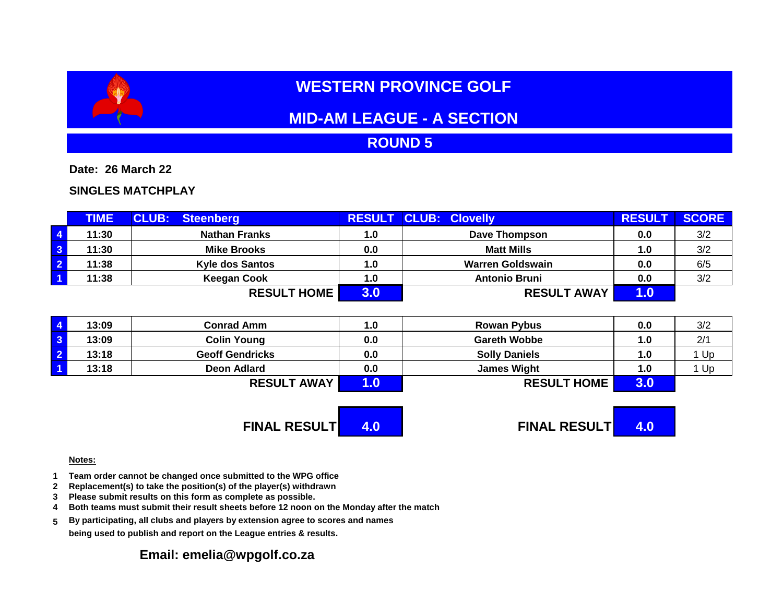# **WESTERN PROVINCE GOLF**

# **MID-AM LEAGUE - A SECTION**

## **ROUND 5**

**Date: 26 March 22**

### **SINGLES MATCHPLAY**

|                         | <b>TIME</b> | <b>CLUB:</b><br><b>Steenberg</b> |     | <b>RESULT CLUB: Clovelly</b> | <b>RESULT</b> | <b>SCORE</b> |
|-------------------------|-------------|----------------------------------|-----|------------------------------|---------------|--------------|
| $\overline{4}$          | 11:30       | <b>Nathan Franks</b>             | 1.0 | Dave Thompson                | 0.0           | 3/2          |
| $\overline{\mathbf{3}}$ | 11:30       | <b>Mike Brooks</b>               | 0.0 | <b>Matt Mills</b>            | 1.0           | 3/2          |
| $\overline{2}$          | 11:38       | <b>Kyle dos Santos</b>           | 1.0 | <b>Warren Goldswain</b>      | 0.0           | 6/5          |
| $\overline{1}$          | 11:38       | <b>Keegan Cook</b>               | 1.0 | <b>Antonio Bruni</b>         | 0.0           | 3/2          |
|                         |             | <b>RESULT HOME</b>               | 3.0 | <b>RESULT AWAY</b>           |               |              |

| 13:09 | <b>Conrad Amm</b>      | 1.0 | <b>Rowan Pybus</b>   | 0.0 | 3/2 |
|-------|------------------------|-----|----------------------|-----|-----|
| 13:09 | <b>Colin Young</b>     | 0.0 | <b>Gareth Wobbe</b>  | 1.0 | 2/1 |
| 13:18 | <b>Geoff Gendricks</b> | 0.0 | <b>Solly Daniels</b> | 1.0 | Up  |
| 13:18 | Deon Adlard            | 0.0 | <b>James Wight</b>   | 1.0 | Up  |
|       | <b>RESULT AWAY</b>     |     | <b>RESULT HOME</b>   | ა.υ |     |

**FINAL RESULT 4.0 FINAL RESULT 4.0**

#### **Notes:**

- **1 Team order cannot be changed once submitted to the WPG office**
- **2 Replacement(s) to take the position(s) of the player(s) withdrawn**
- **3 Please submit results on this form as complete as possible.**
- **4 Both teams must submit their result sheets before 12 noon on the Monday after the match**
- **5 By participating, all clubs and players by extension agree to scores and names being used to publish and report on the League entries & results.**

### **Email: emelia@wpgolf.co.za**